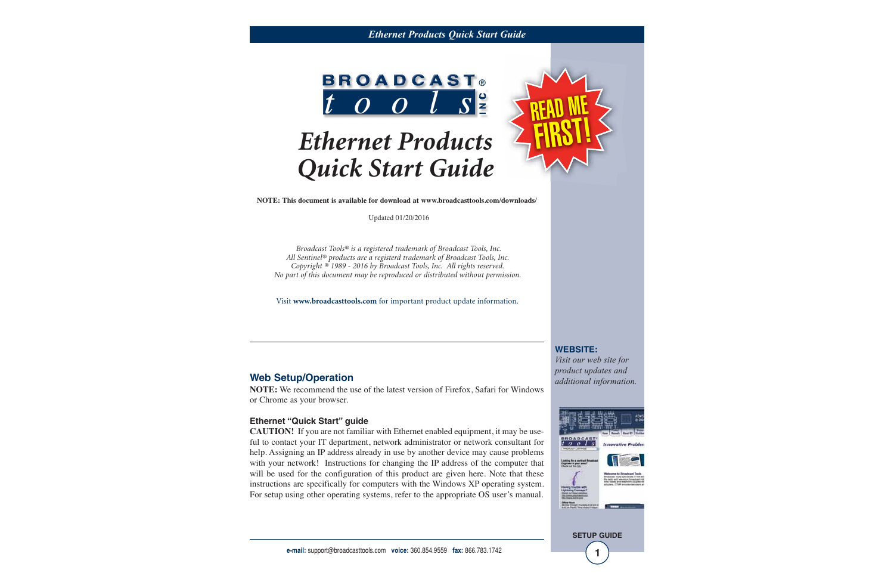#### *Ethernet Products Quick Start Guide*



# *Ethernet Products Quick Start Guide*

**NOTE: This document is available for download at www.broadcasttools.com/downloads/**

Updated 01/20/2016

*Broadcast Tools® is a registered trademark of Broadcast Tools, Inc. All Sentinel® products are a registerd trademark of Broadcast Tools, Inc. Copyright ® 1989 - 2016 by Broadcast Tools, Inc. All rights reserved. No part of this document may be reproduced or distributed without permission.*

Visit **www.broadcasttools.com** for important product update information.

### **Web Setup/Operation**

**NOTE:** We recommend the use of the latest version of Firefox, Safari for Windows or Chrome as your browser.

#### **Ethernet "Quick Start" guide**

**CAUTION!** If you are not familiar with Ethernet enabled equipment, it may be useful to contact your IT department, network administrator or network consultant for help. Assigning an IP address already in use by another device may cause problems with your network! Instructions for changing the IP address of the computer that will be used for the configuration of this product are given here. Note that these instructions are specifically for computers with the Windows XP operating system. For setup using other operating systems, refer to the appropriate OS user's manual.

**WEBSITE:** *Visit our web site for*

READ ME<br>FIRST!

*product updates and additional information.*

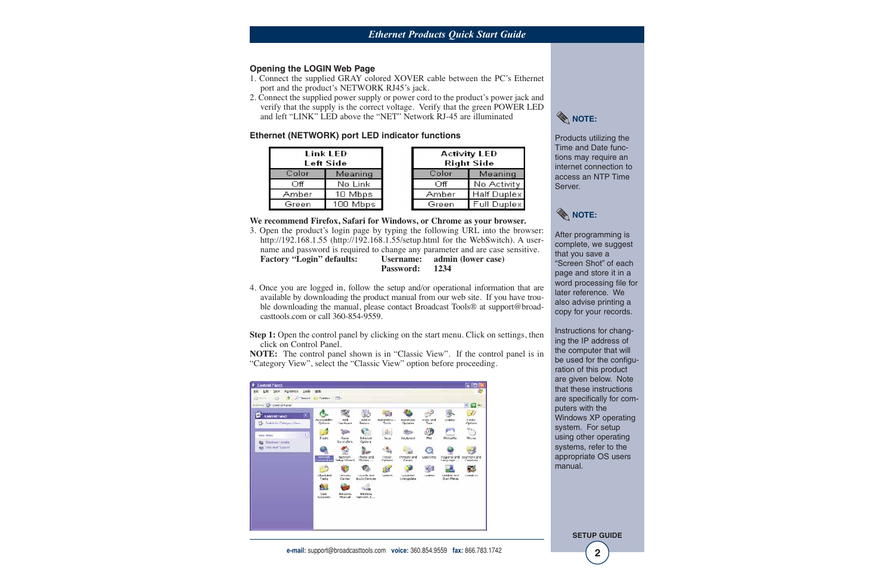#### **Opening the LOGIN Web Page**

- 1. Connect the supplied GRAY colored XOVER cable between the PC's Ethernet port and the product's NETWORK RJ45's jack.
- 2. Connect the supplied power supply or power cord to the product's power jack and verify that the supply is the correct voltage. Verify that the green POWER LED and left "LINK" LED above the "NET" Network RJ-45 are illuminated

#### **Ethernet (NETWORK) port LED indicator functions**

| Link LED<br>Left Side |          |  |
|-----------------------|----------|--|
| Color                 | Meaning  |  |
| Off                   | No Link  |  |
| Amber                 | 10 Mbps  |  |
| Green                 | 100 Mbps |  |

| <b>Activity LED</b><br>Right Side |                    |  |  |
|-----------------------------------|--------------------|--|--|
| Color                             | Meaning            |  |  |
| Off                               | No Activity        |  |  |
| Amber                             | <b>Half Duplex</b> |  |  |
| Green                             | Full Duplex        |  |  |

#### **We recommend Firefox, Safari for Windows, or Chrome as your browser.**

- 3. Open the product's login page by typing the following URL into the browser: http://192.168.1.55 (http://192.168.1.55/setup.html for the WebSwitch). A username and password is required to change any parameter and are case sensitive. **Factory "Login" defaults: Username: admin (lower case) Password: 1234**
- 4. Once you are logged in, follow the setup and/or operational information that are available by downloading the product manual from our web site. If you have trouble downloading the manual, please contact Broadcast Tools® at support@broadcasttools.com or call 360-854-9559.

**Step 1:** Open the control panel by clicking on the start menu. Click on settings, then click on Control Panel.

**NOTE:** The control panel shown is in "Classic View". If the control panel is in "Category View", select the "Classic View" option before proceeding.





Products utilizing the Time and Date functions may require an internet connection to access an NTP Time Server.



After programming is complete, we suggest that you save a "Screen Shot" of each page and store it in a word processing file for later reference. We also advise printing a copy for your records.

Instructions for changing the IP address of the computer that will be used for the configuration of this product are given below. Note that these instructions are specifically for computers with the Windows XP operating system. For setup using other operating systems, refer to the appropriate OS users manual.

**SETUP GUIDE**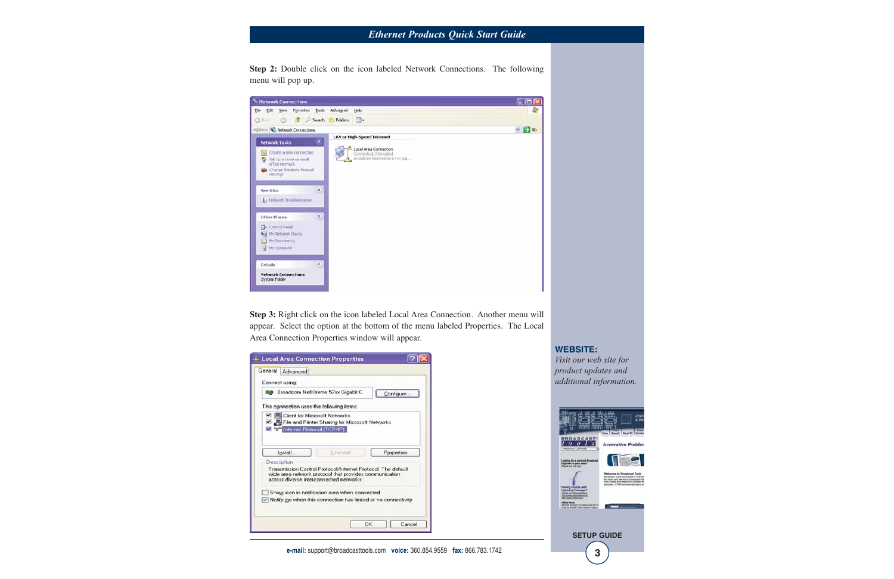## *Ethernet Products Quick Start Guide*

**Step 2:** Double click on the icon labeled Network Connections. The following menu will pop up.

| <b>Network Connections</b>                                                                       |                                                                                     | - 10             |
|--------------------------------------------------------------------------------------------------|-------------------------------------------------------------------------------------|------------------|
| Edt Vew Favorites Tools Advanced<br><b>Ble</b>                                                   | Help.                                                                               |                  |
|                                                                                                  | ◎ No.1 ◎ ま P Search → Folders 国*                                                    |                  |
| Address C Network Connections                                                                    |                                                                                     | $\vee$ $\Box$ Go |
|                                                                                                  | <b>LAN or High-Speed Internet</b>                                                   |                  |
| <b>Network Tasks</b><br>Create a new connection<br>$u_{\alpha}$<br>flet up a home or small.<br>o | ⑧.<br>Local Area Connection<br>Connected, Firewalled<br>Broadcom Net2trame 57xx Gig |                  |
| office network.<br>Change Windows Firewall<br>settings                                           |                                                                                     |                  |
| See Also                                                                                         | $\mathbb{R}$                                                                        |                  |
| Ly Network Traditionhouses                                                                       |                                                                                     |                  |
| <b>Other Places</b>                                                                              | $\mathbf{R}$                                                                        |                  |
| Control Panel                                                                                    |                                                                                     |                  |
| M.J. My Notwork Places                                                                           |                                                                                     |                  |
| My Documents<br>My Computer                                                                      |                                                                                     |                  |
| Details                                                                                          | $\begin{array}{c} \hline \end{array}$                                               |                  |
|                                                                                                  |                                                                                     |                  |

**Step 3:** Right click on the icon labeled Local Area Connection. Another menu will appear. Select the option at the bottom of the menu labeled Properties. The Local Area Connection Properties window will appear.

| Connect using:                                                   |                                                              |            |
|------------------------------------------------------------------|--------------------------------------------------------------|------------|
| <b>IIII Broadcom NetXtreme 57xx Gigabit C</b>                    |                                                              | Configure  |
| This connection uses the following items:                        |                                                              |            |
| Client for Microsoft Networks                                    |                                                              |            |
| File and Printer Sharing for Microsoft Networks                  |                                                              |            |
| <b>ZED Internet Protocol (TCP/IP)</b>                            |                                                              |            |
|                                                                  |                                                              |            |
| Install                                                          | Lininstall                                                   | Properties |
| Description                                                      |                                                              |            |
|                                                                  | Transmission Control Protocol/Internet Protocol. The default |            |
|                                                                  | wide area network protocol that provides communication       |            |
| across diverse interconnected networks.                          |                                                              |            |
|                                                                  | Show icon in notification area when connected                |            |
|                                                                  |                                                              |            |
| IV Notify me when this connection has limited or no connectivity |                                                              |            |

**WEBSITE:**

*Visit our web site for product updates and additional information.*